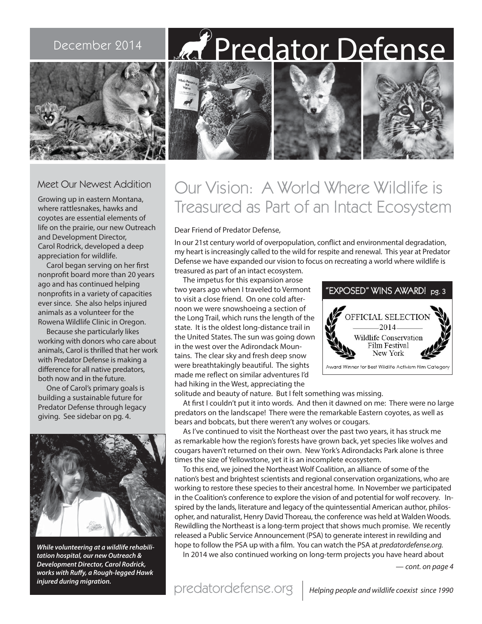# December 2014 | Max Predator Defense





## Meet Our Newest Addition

Growing up in eastern Montana, where rattlesnakes, hawks and coyotes are essential elements of life on the prairie, our new Outreach and Development Director, Carol Rodrick, developed a deep appreciation for wildlife.

Carol began serving on her first nonprofit board more than 20 years ago and has continued helping nonprofits in a variety of capacities ever since. She also helps injured animals as a volunteer for the Rowena Wildlife Clinic in Oregon.

Because she particularly likes working with donors who care about animals, Carol is thrilled that her work with Predator Defense is making a difference for all native predators, both now and in the future.

One of Carol's primary goals is building a sustainable future for Predator Defense through legacy giving. See sidebar on pg. 4.



**While volunteering at a wildlife rehabilitation hospital, our new Outreach & Development Director, Carol Rodrick, works with Ruffy, a Rough-legged Hawk injured during migration.**

# Our Vision: A World Where Wildlife is Treasured as Part of an Intact Ecosystem

#### Dear Friend of Predator Defense,

In our 21st century world of overpopulation, conflict and environmental degradation, my heart is increasingly called to the wild for respite and renewal. This year at Predator Defense we have expanded our vision to focus on recreating a world where wildlife is treasured as part of an intact ecosystem.

The impetus for this expansion arose two years ago when I traveled to Vermont to visit a close friend. On one cold afternoon we were snowshoeing a section of the Long Trail, which runs the length of the state. It is the oldest long-distance trail in the United States. The sun was going down in the west over the Adirondack Mountains. The clear sky and fresh deep snow were breathtakingly beautiful. The sights made me reflect on similar adventures I'd had hiking in the West, appreciating the



solitude and beauty of nature. But I felt something was missing.

At first I couldn't put it into words. And then it dawned on me: There were no large predators on the landscape! There were the remarkable Eastern coyotes, as well as bears and bobcats, but there weren't any wolves or cougars.

As I've continued to visit the Northeast over the past two years, it has struck me as remarkable how the region's forests have grown back, yet species like wolves and cougars haven't returned on their own. New York's Adirondacks Park alone is three times the size of Yellowstone, yet it is an incomplete ecosystem.

To this end, we joined the Northeast Wolf Coalition, an alliance of some of the nation's best and brightest scientists and regional conservation organizations, who are working to restore these species to their ancestral home. In November we participated in the Coalition's conference to explore the vision of and potential for wolf recovery. Inspired by the lands, literature and legacy of the quintessential American author, philosopher, and naturalist, Henry David Thoreau, the conference was held at Walden Woods. Rewildling the Northeast is a long-term project that shows much promise. We recently released a Public Service Announcement (PSA) to generate interest in rewilding and hope to follow the PSA up with a film. You can watch the PSA at predatordefense.org.

In 2014 we also continued working on long-term projects you have heard about

— cont. on page 4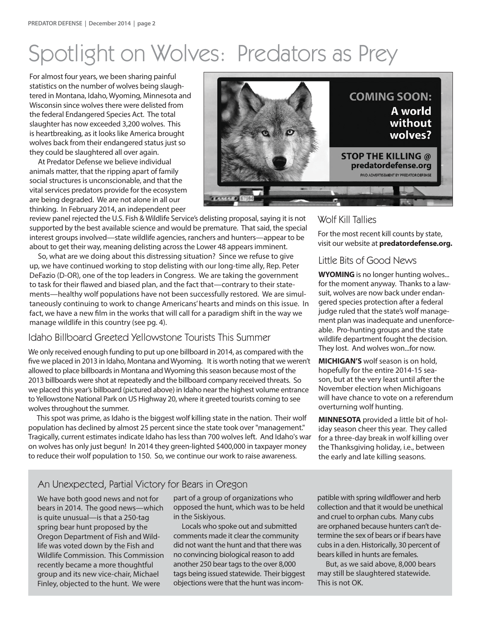# Spotlight on Wolves: Predators as Prey

For almost four years, we been sharing painful statistics on the number of wolves being slaughtered in Montana, Idaho, Wyoming, Minnesota and Wisconsin since wolves there were delisted from the federal Endangered Species Act. The total slaughter has now exceeded 3,200 wolves. This is heartbreaking, as it looks like America brought wolves back from their endangered status just so they could be slaughtered all over again.

At Predator Defense we believe individual animals matter, that the ripping apart of family social structures is unconscionable, and that the vital services predators provide for the ecosystem are being degraded. We are not alone in all our thinking. In February 2014, an independent peer



review panel rejected the U.S. Fish & Wildlife Service's delisting proposal, saying it is not supported by the best available science and would be premature. That said, the special interest groups involved—state wildlife agencies, ranchers and hunters—appear to be about to get their way, meaning delisting across the Lower 48 appears imminent.

So, what are we doing about this distressing situation? Since we refuse to give up, we have continued working to stop delisting with our long-time ally, Rep. Peter DeFazio (D-OR), one of the top leaders in Congress. We are taking the government to task for their flawed and biased plan, and the fact that—contrary to their statements—healthy wolf populations have not been successfully restored. We are simultaneously continuing to work to change Americans' hearts and minds on this issue. In fact, we have a new film in the works that will call for a paradigm shift in the way we manage wildlife in this country (see pg. 4).

### Idaho Billboard Greeted Yellowstone Tourists This Summer

We only received enough funding to put up one billboard in 2014, as compared with the five we placed in 2013 in Idaho, Montana and Wyoming. It is worth noting that we weren't allowed to place billboards in Montana and Wyoming this season because most of the 2013 billboards were shot at repeatedly and the billboard company received threats. So we placed this year's billboard (pictured above) in Idaho near the highest volume entrance to Yellowstone National Park on US Highway 20, where it greeted tourists coming to see wolves throughout the summer.

This spot was prime, as Idaho is the biggest wolf killing state in the nation. Their wolf population has declined by almost 25 percent since the state took over "management." Tragically, current estimates indicate Idaho has less than 700 wolves left. And Idaho's war on wolves has only just begun! In 2014 they green-lighted \$400,000 in taxpayer money to reduce their wolf population to 150. So, we continue our work to raise awareness.

### Wolf Kill Tallies

For the most recent kill counts by state, visit our website at **predatordefense.org.**

### Little Bits of Good News

**WYOMING** is no longer hunting wolves... for the moment anyway. Thanks to a lawsuit, wolves are now back under endangered species protection after a federal judge ruled that the state's wolf management plan was inadequate and unenforceable. Pro-hunting groups and the state wildlife department fought the decision. They lost. And wolves won...for now.

**MICHIGAN'S** wolf season is on hold, hopefully for the entire 2014-15 season, but at the very least until after the November election when Michigoans will have chance to vote on a referendum overturning wolf hunting.

**MINNESOTA** provided a little bit of holiday season cheer this year. They called for a three-day break in wolf killing over the Thanksgiving holiday, i.e., between the early and late killing seasons.

# An Unexpected, Partial Victory for Bears in Oregon

We have both good news and not for bears in 2014. The good news—which is quite unusual—is that a 250-tag spring bear hunt proposed by the Oregon Department of Fish and Wildlife was voted down by the Fish and Wildlife Commission. This Commission recently became a more thoughtful group and its new vice-chair, Michael Finley, objected to the hunt. We were

part of a group of organizations who opposed the hunt, which was to be held in the Siskiyous.

Locals who spoke out and submitted comments made it clear the community did not want the hunt and that there was no convincing biological reason to add another 250 bear tags to the over 8,000 tags being issued statewide. Their biggest objections were that the hunt was incom-

patible with spring wildflower and herb collection and that it would be unethical and cruel to orphan cubs. Many cubs are orphaned because hunters can't determine the sex of bears or if bears have cubs in a den. Historically, 30 percent of bears killed in hunts are females.

But, as we said above, 8,000 bears may still be slaughtered statewide. This is not OK.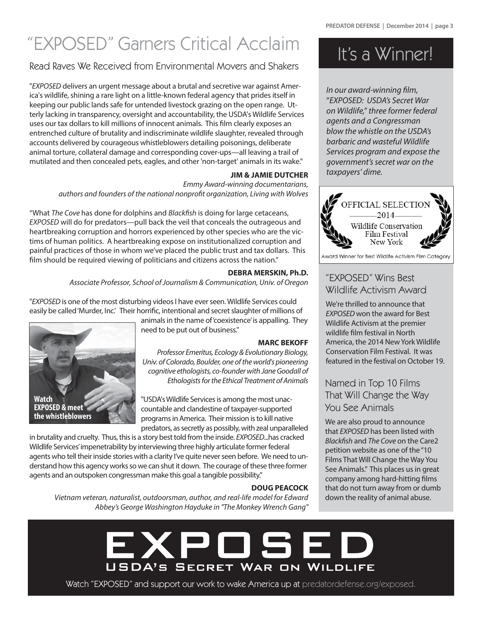# "EXPOSED" Garners Critical Acclaim It's a Winner!

# Read Raves We Received from Environmental Movers and Shakers

"EXPOSED delivers an urgent message about a brutal and secretive war against America's wildlife, shining a rare light on a little-known federal agency that prides itself in keeping our public lands safe for untended livestock grazing on the open range. Utterly lacking in transparency, oversight and accountability, the USDA's Wildlife Services uses our tax dollars to kill millions of innocent animals. This film clearly exposes an entrenched culture of brutality and indiscriminate wildlife slaughter, revealed through accounts delivered by courageous whistleblowers detailing poisonings, deliberate animal torture, collateral damage and corresponding cover-ups—all leaving a trail of mutilated and then concealed pets, eagles, and other 'non-target' animals in its wake."

#### **JIM & JAMIE DUTCHER**

Emmy Award-winning documentarians, authors and founders of the national nonprofit organization, Living with Wolves

"What The Cove has done for dolphins and Blackfish is doing for large cetaceans, EXPOSED will do for predators—pull back the veil that conceals the outrageous and heartbreaking corruption and horrors experienced by other species who are the victims of human politics. A heartbreaking expose on institutionalized corruption and painful practices of those in whom we've placed the public trust and tax dollars. This film should be required viewing of politicians and citizens across the nation."

#### **DEBRA MERSKIN, Ph.D.**

Associate Professor, School of Journalism & Communication, Univ. of Oregon

"EXPOSED is one of the most disturbing videos I have ever seen. Wildlife Services could easily be called 'Murder, Inc.' Their horrific, intentional and secret slaughter of millions of

> animals in the name of 'coexistence' is appalling. They need to be put out of business."

#### **MARC BEKOFF**

Professor Emeritus, Ecology & Evolutionary Biology, Univ. of Colorado, Boulder, one of the world's pioneering cognitive ethologists, co-founder with Jane Goodall of Ethologists for the Ethical Treatment of Animals

"USDA's Wildlife Services is among the most unaccountable and clandestine of taxpayer-supported programs in America. Their mission is to kill native predators, as secretly as possibly, with zeal unparalleled

in brutality and cruelty. Thus, this is a story best told from the inside. EXPOSED...has cracked Wildlife Services' impenetrability by interviewing three highly articulate former federal agents who tell their inside stories with a clarity I've quite never seen before. We need to understand how this agency works so we can shut it down. The courage of these three former agents and an outspoken congressman make this goal a tangible possibility."

**Watch**

**EXPOSED & meet the whistleblowers**

#### **DOUG PEACOCK**

Vietnam veteran, naturalist, outdoorsman, author, and real-life model for Edward Abbey's George Washington Hayduke in "The Monkey Wrench Gang"

In our award-winning film, "EXPOSED: USDA's Secret War on Wildlife," three former federal agents and a Congressman blow the whistle on the USDA's barbaric and wasteful Wildlife Services program and expose the government's secret war on the taxpayers' dime.



Award Winner for Best Wildlife Activism Film Category

### "EXPOSED" Wins Best Wildlife Activism Award

We're thrilled to announce that EXPOSED won the award for Best Wildlife Activism at the premier wildlife film festival in North America, the 2014 New York Wildlife Conservation Film Festival. It was featured in the festival on October 19.

# Named in Top 10 Films That Will Change the Way You See Animals

We are also proud to announce that EXPOSED has been listed with Blackfish and The Cove on the Care2 petition website as one of the "10 Films That Will Change the Way You See Animals." This places us in great company among hard-hitting films that do not turn away from or dumb down the reality of animal abuse.



Watch "EXPOSED" and support our work to wake America up at predatordefense.org/exposed.